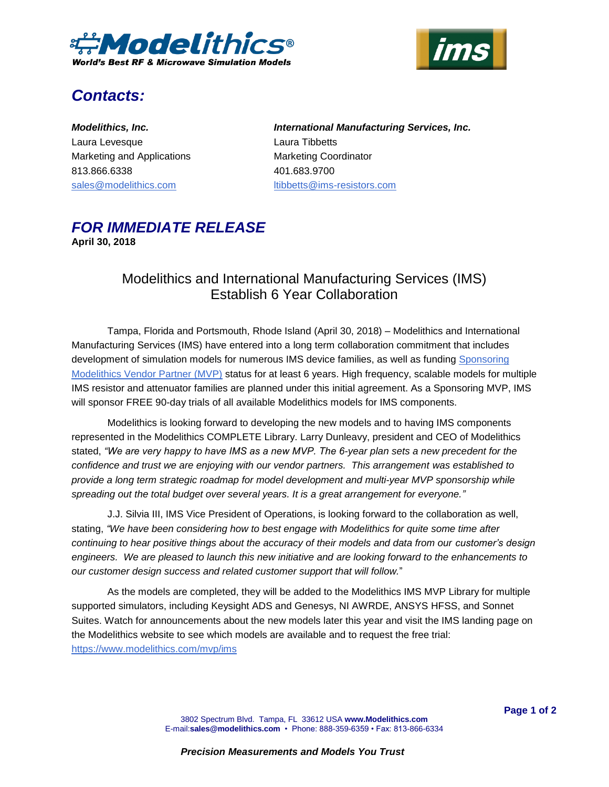



# *Contacts:*

*Modelithics, Inc.* Laura Levesque Marketing and Applications 813.866.6338 [sales@modelithics.com](mailto:sales@modelithics.com) 

*International Manufacturing Services, Inc.* Laura Tibbetts Marketing Coordinator 401.683.9700 [ltibbetts@ims-resistors.com](mailto:ltibbetts@ims-resistors.com)

### *FOR IMMEDIATE RELEASE* **April 30, 2018**

## Modelithics and International Manufacturing Services (IMS) Establish 6 Year Collaboration

Tampa, Florida and Portsmouth, Rhode Island (April 30, 2018) – Modelithics and International Manufacturing Services (IMS) have entered into a long term collaboration commitment that includes development of simulation models for numerous IMS device families, as well as funding Sponsoring [Modelithics Vendor Partner \(MVP\)](https://www.modelithics.com/MVP?utm_source=PR&utm_medium=email&utm_campaign=IMS6yr) status for at least 6 years. High frequency, scalable models for multiple IMS resistor and attenuator families are planned under this initial agreement. As a Sponsoring MVP, IMS will sponsor FREE 90-day trials of all available Modelithics models for IMS components.

Modelithics is looking forward to developing the new models and to having IMS components represented in the Modelithics COMPLETE Library. Larry Dunleavy, president and CEO of Modelithics stated, *"We are very happy to have IMS as a new MVP. The 6-year plan sets a new precedent for the confidence and trust we are enjoying with our vendor partners. This arrangement was established to provide a long term strategic roadmap for model development and multi-year MVP sponsorship while spreading out the total budget over several years. It is a great arrangement for everyone."*

J.J. Silvia III, IMS Vice President of Operations, is looking forward to the collaboration as well, stating, *"We have been considering how to best engage with Modelithics for quite some time after continuing to hear positive things about the accuracy of their models and data from our customer's design engineers. We are pleased to launch this new initiative and are looking forward to the enhancements to our customer design success and related customer support that will follow.*"

As the models are completed, they will be added to the Modelithics IMS MVP Library for multiple supported simulators, including Keysight ADS and Genesys, NI AWRDE, ANSYS HFSS, and Sonnet Suites. Watch for announcements about the new models later this year and visit the IMS landing page on the Modelithics website to see which models are available and to request the free trial: <https://www.modelithics.com/mvp/ims>